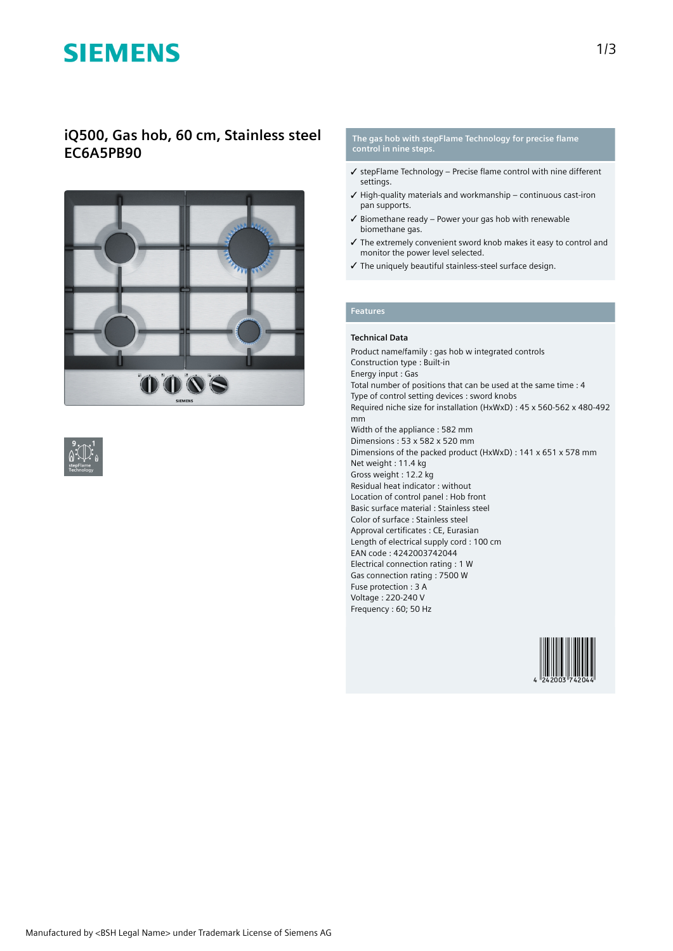# **SIEMENS**

### **iQ500, Gas hob, 60 cm, Stainless steel EC6A5PB90**



#### **The gas hob with stepFlame Technology for precise flame control in nine steps.**

- ✓ stepFlame Technology Precise flame control with nine different **settings**
- $\checkmark$  High-quality materials and workmanship continuous cast-iron pan supports.
- ✓ Biomethane ready Power your gas hob with renewable biomethane gas.
- ✓ The extremely convenient sword knob makes it easy to control and monitor the power level selected.
- ✓ The uniquely beautiful stainless-steel surface design.

### **Features**

#### **Technical Data**

Product name/family : gas hob w integrated controls Construction type : Built-in Energy input : Gas Total number of positions that can be used at the same time : 4 Type of control setting devices : sword knobs Required niche size for installation (HxWxD) : 45 x 560-562 x 480-492 mm Width of the appliance : 582 mm Dimensions : 53 x 582 x 520 mm Dimensions of the packed product (HxWxD) : 141 x 651 x 578 mm Net weight : 11.4 kg Gross weight : 12.2 kg Residual heat indicator : without Location of control panel : Hob front Basic surface material : Stainless steel Color of surface : Stainless steel Approval certificates : CE, Eurasian Length of electrical supply cord : 100 cm EAN code : 4242003742044 Electrical connection rating : 1 W Gas connection rating : 7500 W Fuse protection : 3 A Voltage : 220-240 V Frequency : 60; 50 Hz

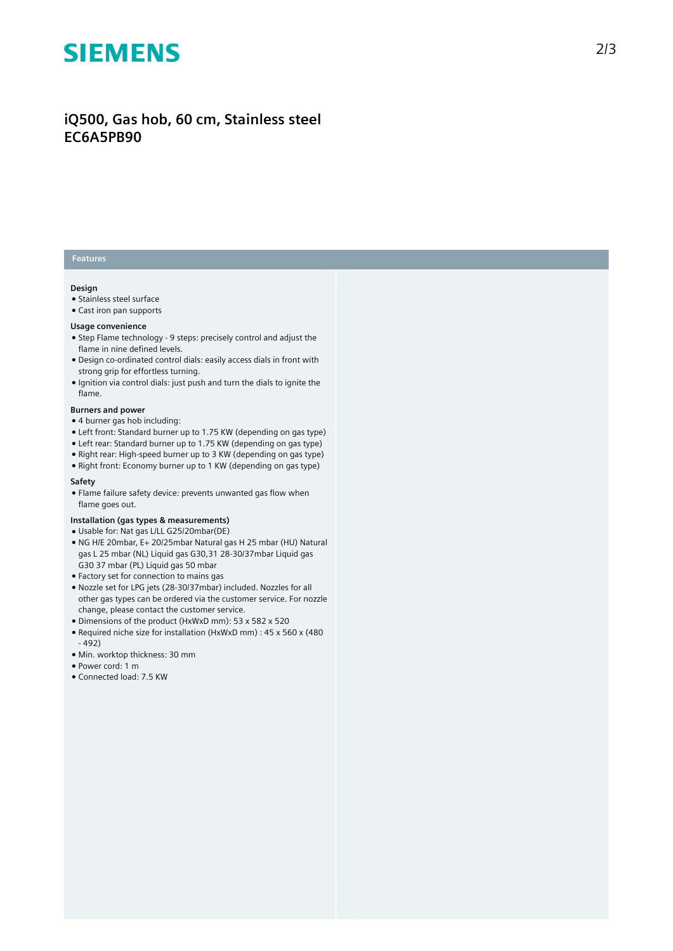# **SIEMENS**

## **iQ500, Gas hob, 60 cm, Stainless steel EC6A5PB90**

### **Features**

#### **Design**

- Stainless steel surface
- Cast iron pan supports

#### **Usage convenience**

- Step Flame technology 9 steps: precisely control and adjust the flame in nine defined levels.
- Design co-ordinated control dials: easily access dials in front with strong grip for effortless turning.
- Ignition via control dials: just push and turn the dials to ignite the flame.

#### **Burners and power**

- 4 burner gas hob including:
- Left front: Standard burner up to 1.75 KW (depending on gas type)
- Left rear: Standard burner up to 1.75 KW (depending on gas type)
- Right rear: High-speed burner up to 3 KW (depending on gas type)
- Right front: Economy burner up to 1 KW (depending on gas type)

#### **Safety**

● Flame failure safety device: prevents unwanted gas flow when flame goes out.

#### **Installation (gas types & measurements)**

- Usable for: Nat gas L/LL G25/20mbar(DE)
- NG H/E 20mbar, E+ 20/25mbar Natural gas H 25 mbar (HU) Natural gas L 25 mbar (NL) Liquid gas G30,31 28-30/37mbar Liquid gas G30 37 mbar (PL) Liquid gas 50 mbar
- Factory set for connection to mains gas
- Nozzle set for LPG jets (28-30/37mbar) included. Nozzles for all other gas types can be ordered via the customer service. For nozzle change, please contact the customer service.
- Dimensions of the product (HxWxD mm): 53 x 582 x 520
- Required niche size for installation (HxWxD mm) : 45 x 560 x (480 - 492)
- Min. worktop thickness: 30 mm
- Power cord: 1 m
- Connected load: 7.5 KW